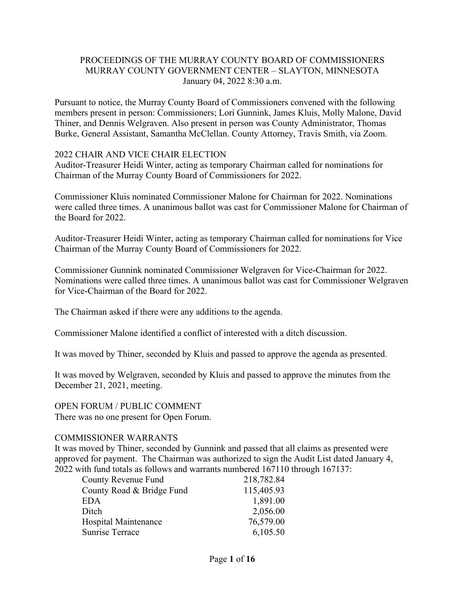# PROCEEDINGS OF THE MURRAY COUNTY BOARD OF COMMISSIONERS MURRAY COUNTY GOVERNMENT CENTER – SLAYTON, MINNESOTA January 04, 2022 8:30 a.m.

Pursuant to notice, the Murray County Board of Commissioners convened with the following members present in person: Commissioners; Lori Gunnink, James Kluis, Molly Malone, David Thiner, and Dennis Welgraven. Also present in person was County Administrator, Thomas Burke, General Assistant, Samantha McClellan. County Attorney, Travis Smith, via Zoom.

#### 2022 CHAIR AND VICE CHAIR ELECTION

Auditor-Treasurer Heidi Winter, acting as temporary Chairman called for nominations for Chairman of the Murray County Board of Commissioners for 2022.

Commissioner Kluis nominated Commissioner Malone for Chairman for 2022. Nominations were called three times. A unanimous ballot was cast for Commissioner Malone for Chairman of the Board for 2022.

Auditor-Treasurer Heidi Winter, acting as temporary Chairman called for nominations for Vice Chairman of the Murray County Board of Commissioners for 2022.

Commissioner Gunnink nominated Commissioner Welgraven for Vice-Chairman for 2022. Nominations were called three times. A unanimous ballot was cast for Commissioner Welgraven for Vice-Chairman of the Board for 2022.

The Chairman asked if there were any additions to the agenda.

Commissioner Malone identified a conflict of interested with a ditch discussion.

It was moved by Thiner, seconded by Kluis and passed to approve the agenda as presented.

It was moved by Welgraven, seconded by Kluis and passed to approve the minutes from the December 21, 2021, meeting.

OPEN FORUM / PUBLIC COMMENT

There was no one present for Open Forum.

#### COMMISSIONER WARRANTS

It was moved by Thiner, seconded by Gunnink and passed that all claims as presented were approved for payment. The Chairman was authorized to sign the Audit List dated January 4, 2022 with fund totals as follows and warrants numbered 167110 through 167137:

| County Revenue Fund       | 218,782.84 |
|---------------------------|------------|
| County Road & Bridge Fund | 115,405.93 |
| EDA                       | 1,891.00   |
| Ditch                     | 2,056.00   |
| Hospital Maintenance      | 76,579.00  |
| <b>Sunrise Terrace</b>    | 6,105.50   |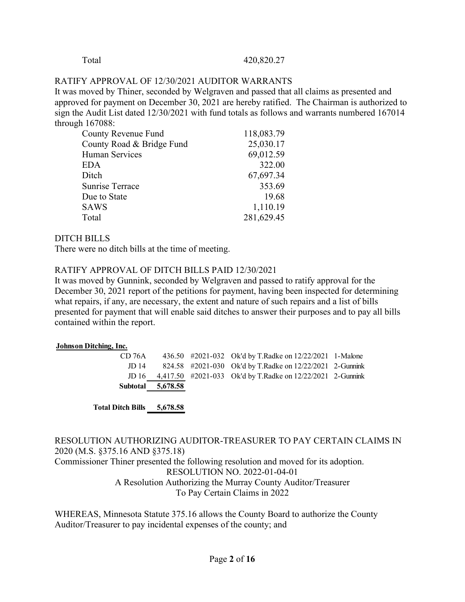#### Total 420,820.27

#### RATIFY APPROVAL OF 12/30/2021 AUDITOR WARRANTS

It was moved by Thiner, seconded by Welgraven and passed that all claims as presented and approved for payment on December 30, 2021 are hereby ratified. The Chairman is authorized to sign the Audit List dated 12/30/2021 with fund totals as follows and warrants numbered 167014 through 167088:

| <b>County Revenue Fund</b> | 118,083.79 |
|----------------------------|------------|
| County Road & Bridge Fund  | 25,030.17  |
| <b>Human Services</b>      | 69,012.59  |
| EDA                        | 322.00     |
| Ditch                      | 67,697.34  |
| Sunrise Terrace            | 353.69     |
| Due to State               | 19.68      |
| <b>SAWS</b>                | 1,110.19   |
| Total                      | 281,629.45 |

#### DITCH BILLS

There were no ditch bills at the time of meeting.

#### RATIFY APPROVAL OF DITCH BILLS PAID 12/30/2021

It was moved by Gunnink, seconded by Welgraven and passed to ratify approval for the December 30, 2021 report of the petitions for payment, having been inspected for determining what repairs, if any, are necessary, the extent and nature of such repairs and a list of bills presented for payment that will enable said ditches to answer their purposes and to pay all bills contained within the report.

#### **Johnson Ditching, Inc.**

|        | Subtotal 5,678.58 |                                                                  |  |
|--------|-------------------|------------------------------------------------------------------|--|
|        |                   | JD 16 4,417.50 #2021-033 Ok'd by T.Radke on 12/22/2021 2-Gunnink |  |
| JD 14  |                   | 824.58 #2021-030 Ok'd by T.Radke on 12/22/2021 2-Gunnink         |  |
| CD 76A |                   | 436.50 #2021-032 Ok'd by T.Radke on 12/22/2021 1-Malone          |  |

**Total Ditch Bills 5,678.58**

# RESOLUTION AUTHORIZING AUDITOR-TREASURER TO PAY CERTAIN CLAIMS IN 2020 (M.S. §375.16 AND §375.18)

Commissioner Thiner presented the following resolution and moved for its adoption. RESOLUTION NO. 2022-01-04-01 A Resolution Authorizing the Murray County Auditor/Treasurer

To Pay Certain Claims in 2022

WHEREAS, Minnesota Statute 375.16 allows the County Board to authorize the County Auditor/Treasurer to pay incidental expenses of the county; and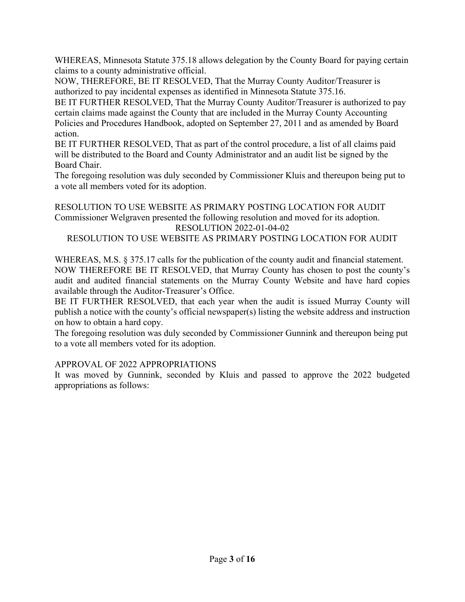WHEREAS, Minnesota Statute 375.18 allows delegation by the County Board for paying certain claims to a county administrative official.

NOW, THEREFORE, BE IT RESOLVED, That the Murray County Auditor/Treasurer is authorized to pay incidental expenses as identified in Minnesota Statute 375.16.

BE IT FURTHER RESOLVED, That the Murray County Auditor/Treasurer is authorized to pay certain claims made against the County that are included in the Murray County Accounting Policies and Procedures Handbook, adopted on September 27, 2011 and as amended by Board action.

BE IT FURTHER RESOLVED, That as part of the control procedure, a list of all claims paid will be distributed to the Board and County Administrator and an audit list be signed by the Board Chair.

The foregoing resolution was duly seconded by Commissioner Kluis and thereupon being put to a vote all members voted for its adoption.

RESOLUTION TO USE WEBSITE AS PRIMARY POSTING LOCATION FOR AUDIT Commissioner Welgraven presented the following resolution and moved for its adoption. RESOLUTION 2022-01-04-02 RESOLUTION TO USE WEBSITE AS PRIMARY POSTING LOCATION FOR AUDIT

WHEREAS, M.S. § 375.17 calls for the publication of the county audit and financial statement. NOW THEREFORE BE IT RESOLVED, that Murray County has chosen to post the county's audit and audited financial statements on the Murray County Website and have hard copies available through the Auditor-Treasurer's Office.

BE IT FURTHER RESOLVED, that each year when the audit is issued Murray County will publish a notice with the county's official newspaper(s) listing the website address and instruction on how to obtain a hard copy.

The foregoing resolution was duly seconded by Commissioner Gunnink and thereupon being put to a vote all members voted for its adoption.

# APPROVAL OF 2022 APPROPRIATIONS

It was moved by Gunnink, seconded by Kluis and passed to approve the 2022 budgeted appropriations as follows: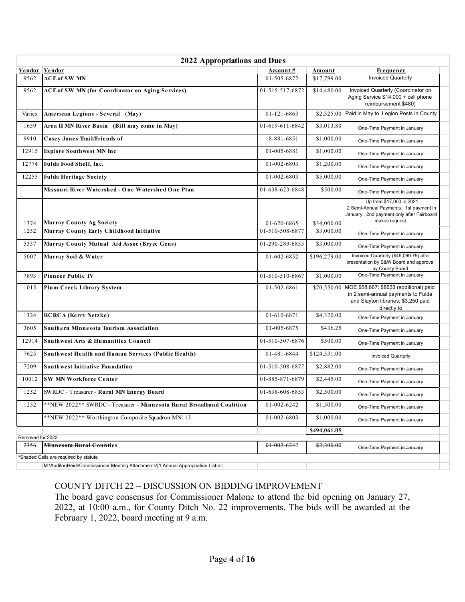|                  | <b>2022 Appropriations and Dues</b>                                                                                    |                  |               |                                                                                                                                    |  |
|------------------|------------------------------------------------------------------------------------------------------------------------|------------------|---------------|------------------------------------------------------------------------------------------------------------------------------------|--|
|                  | <b>Vendor Vendor</b>                                                                                                   | <u>Account #</u> | <u>Amount</u> | <b>Frequency</b>                                                                                                                   |  |
| 9562             | <b>ACE of SW MN</b>                                                                                                    | 01-505-6872      | \$17,799.00   | <b>Invoiced Quarterly</b>                                                                                                          |  |
| 9562             | <b>ACE of SW MN (for Coordinator on Aging Services)</b>                                                                | 01-515-517-6872  | \$14,480.00   | Invoiced Quarterly (Coordinator on<br>Aging Service \$14,000 + cell phone<br>reimbursement \$480)                                  |  |
| Varies           | American Legions - Several (May)                                                                                       | 01-121-6863      | \$2,325.00    | Paid in May to Legion Posts in County                                                                                              |  |
| 1659             | Area II MN River Basin (Bill may come in May)                                                                          | 01-619-611-6842  | \$3,013.80    | One-Time Payment in January                                                                                                        |  |
| 9910             | <b>Casey Jones Trail/Friends of</b>                                                                                    | 18-881-6851      | \$1,000.00    | One-Time Payment in January                                                                                                        |  |
| 12915            | <b>Explore Southwest MN Inc</b>                                                                                        | 01-005-6881      | \$1,000.00    | One-Time Payment in January                                                                                                        |  |
| 12774            | Fulda Food Shelf, Inc.                                                                                                 | 01-002-6803      | \$1,200.00    | One-Time Payment in January                                                                                                        |  |
| 12255            | <b>Fulda Heritage Society</b>                                                                                          | 01-002-6803      | \$5,000.00    | One-Time Payment in January                                                                                                        |  |
|                  | Missouri River Watershed - One Watershed One Plan                                                                      | 01-638-623-6848  | \$500.00      | One-Time Payment in January                                                                                                        |  |
| 1374             | <b>Murray County Ag Society</b>                                                                                        | 01-620-6865      | \$34,000.00   | Up from \$17,000 in 2021.<br>2 Semi-Annual Payments. 1st payment in<br>January. 2nd payment only after Fairboard<br>makes request. |  |
| 1252             | Murray County Early Childhood Initiative                                                                               | 01-510-508-6877  | \$3,000.00    | One-Time Payment in January                                                                                                        |  |
| 5337             | Murray County Mutual Aid Assoc (Bryce Gens)                                                                            | 01-290-289-6855  | \$3,000.00    | One-Time Payment in January                                                                                                        |  |
| 5007             | Murray Soil & Water                                                                                                    | 01-602-6852      | \$196,279.00  | Invoiced Quarterly (\$49,069.75) after<br>presentation by S&W Board and approval<br>by County Board.                               |  |
| 7893             | <b>Pioneer Public TV</b>                                                                                               | 01-510-510-6867  | \$1,000.00    | One-Time Payment in January                                                                                                        |  |
| 1015             | Plum Creek Library System                                                                                              | 01-502-6861      | \$70,550.00   | MOE \$58,667; \$8633 (additional) paid<br>in 2 semi-annual payments to Fulda<br>and Slayton libraries; \$3,250 paid<br>directly to |  |
| 1324             | <b>RCRCA</b> (Kerry Netzke)                                                                                            | 01-610-6871      | \$4,320.00    | One-Time Payment in January                                                                                                        |  |
| 3605             | <b>Southern Minnesota Tourism Association</b>                                                                          | 01-005-6875      | \$436.25      | One-Time Payment in January                                                                                                        |  |
| 12914            | Southwest Arts & Humanities Council                                                                                    | 01-510-507-6876  | \$500.00      | One-Time Payment in January                                                                                                        |  |
| 7625             | Southwest Health and Human Services (Public Health)                                                                    | 01-481-6844      | \$124,331.00  | <b>Invoiced Quarterly</b>                                                                                                          |  |
| 7209             | <b>Southwest Initiative Foundation</b>                                                                                 | 01-510-508-6877  | \$2,882.00    | One-Time Payment in January                                                                                                        |  |
| 10012            | <b>SW MN Workforce Center</b>                                                                                          | 01-885-871-6879  | \$2,445.00    | One-Time Payment in January                                                                                                        |  |
| 1252             | SWRDC - Treasurer - Rural MN Energy Board                                                                              | 01-638-608-6853  | \$2,500.00    | One-Time Payment in January                                                                                                        |  |
| 1252             | **NEW 2022** SWRDC - Treasurer - Minnesota Rural Broadband Coalition                                                   | 01-002-6242      | \$1,500.00    | One-Time Payment in January                                                                                                        |  |
|                  | **NEW 2022** Worthington Composite Squadron MN113                                                                      | 01-002-6803      | \$1,000.00    | One-Time Payment in January                                                                                                        |  |
|                  |                                                                                                                        |                  | \$494,061.05  |                                                                                                                                    |  |
| Removed for 2022 |                                                                                                                        |                  |               |                                                                                                                                    |  |
| 2356             | Minnesota Rural Counties                                                                                               | 01 002 6242      | \$2,200.00    | One-Time Payment in January                                                                                                        |  |
|                  | *Shaded Cells are required by statute<br>M:\Auditor\Hoidi\Commissioner Meeting Attochmente\[1_Annual Annonrigtion List |                  |               |                                                                                                                                    |  |

M:\Auditor\Heidi\Commissioner Meeting Attachments\[1 Annual Appropriation List-all

# COUNTY DITCH 22 – DISCUSSION ON BIDDING IMPROVEMENT

The board gave consensus for Commissioner Malone to attend the bid opening on January 27, 2022, at 10:00 a.m., for County Ditch No. 22 improvements. The bids will be awarded at the February 1, 2022, board meeting at 9 a.m.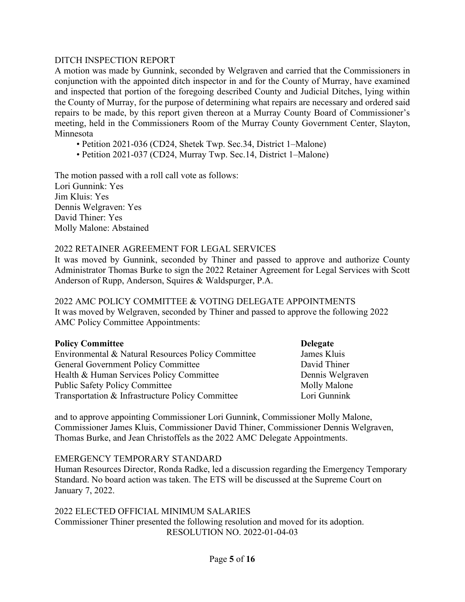### DITCH INSPECTION REPORT

A motion was made by Gunnink, seconded by Welgraven and carried that the Commissioners in conjunction with the appointed ditch inspector in and for the County of Murray, have examined and inspected that portion of the foregoing described County and Judicial Ditches, lying within the County of Murray, for the purpose of determining what repairs are necessary and ordered said repairs to be made, by this report given thereon at a Murray County Board of Commissioner's meeting, held in the Commissioners Room of the Murray County Government Center, Slayton, Minnesota

- Petition 2021-036 (CD24, Shetek Twp. Sec.34, District 1–Malone)
- Petition 2021-037 (CD24, Murray Twp. Sec.14, District 1–Malone)

The motion passed with a roll call vote as follows: Lori Gunnink: Yes Jim Kluis: Yes Dennis Welgraven: Yes David Thiner: Yes Molly Malone: Abstained

### 2022 RETAINER AGREEMENT FOR LEGAL SERVICES

It was moved by Gunnink, seconded by Thiner and passed to approve and authorize County Administrator Thomas Burke to sign the 2022 Retainer Agreement for Legal Services with Scott Anderson of Rupp, Anderson, Squires & Waldspurger, P.A.

2022 AMC POLICY COMMITTEE & VOTING DELEGATE APPOINTMENTS It was moved by Welgraven, seconded by Thiner and passed to approve the following 2022 AMC Policy Committee Appointments:

| <b>Policy Committee</b>                            | <b>Delegate</b>     |
|----------------------------------------------------|---------------------|
| Environmental & Natural Resources Policy Committee | James Kluis         |
| General Government Policy Committee                | David Thiner        |
| Health & Human Services Policy Committee           | Dennis Welgraven    |
| <b>Public Safety Policy Committee</b>              | <b>Molly Malone</b> |
| Transportation & Infrastructure Policy Committee   | Lori Gunnink        |

and to approve appointing Commissioner Lori Gunnink, Commissioner Molly Malone, Commissioner James Kluis, Commissioner David Thiner, Commissioner Dennis Welgraven, Thomas Burke, and Jean Christoffels as the 2022 AMC Delegate Appointments.

#### EMERGENCY TEMPORARY STANDARD

Human Resources Director, Ronda Radke, led a discussion regarding the Emergency Temporary Standard. No board action was taken. The ETS will be discussed at the Supreme Court on January 7, 2022.

#### 2022 ELECTED OFFICIAL MINIMUM SALARIES Commissioner Thiner presented the following resolution and moved for its adoption. RESOLUTION NO. 2022-01-04-03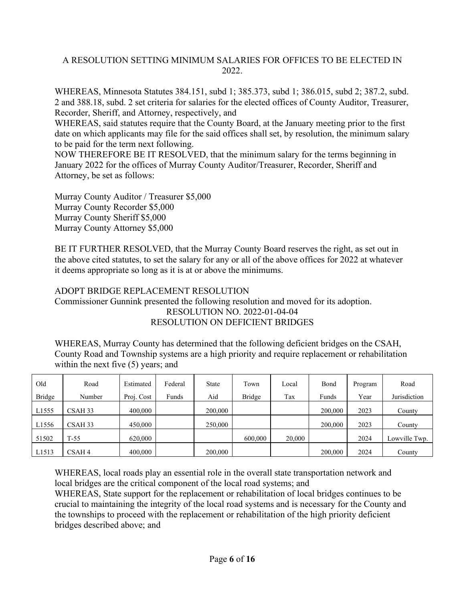# A RESOLUTION SETTING MINIMUM SALARIES FOR OFFICES TO BE ELECTED IN 2022.

WHEREAS, Minnesota Statutes 384.151, subd 1; 385.373, subd 1; 386.015, subd 2; 387.2, subd. 2 and 388.18, subd. 2 set criteria for salaries for the elected offices of County Auditor, Treasurer, Recorder, Sheriff, and Attorney, respectively, and

WHEREAS, said statutes require that the County Board, at the January meeting prior to the first date on which applicants may file for the said offices shall set, by resolution, the minimum salary to be paid for the term next following.

NOW THEREFORE BE IT RESOLVED, that the minimum salary for the terms beginning in January 2022 for the offices of Murray County Auditor/Treasurer, Recorder, Sheriff and Attorney, be set as follows:

Murray County Auditor / Treasurer \$5,000 Murray County Recorder \$5,000 Murray County Sheriff \$5,000 Murray County Attorney \$5,000

BE IT FURTHER RESOLVED, that the Murray County Board reserves the right, as set out in the above cited statutes, to set the salary for any or all of the above offices for 2022 at whatever it deems appropriate so long as it is at or above the minimums.

# ADOPT BRIDGE REPLACEMENT RESOLUTION

Commissioner Gunnink presented the following resolution and moved for its adoption. RESOLUTION NO. 2022-01-04-04 RESOLUTION ON DEFICIENT BRIDGES

WHEREAS, Murray County has determined that the following deficient bridges on the CSAH, County Road and Township systems are a high priority and require replacement or rehabilitation within the next five (5) years; and

| Old           | Road              | Estimated  | Federal | <b>State</b> | Town    | Local  | Bond    | Program | Road          |
|---------------|-------------------|------------|---------|--------------|---------|--------|---------|---------|---------------|
| <b>Bridge</b> | Number            | Proj. Cost | Funds   | Aid          | Bridge  | Tax    | Funds   | Year    | Jurisdiction  |
| L1555         | CSAH 33           | 400,000    |         | 200,000      |         |        | 200,000 | 2023    | County        |
| L1556         | CSAH 33           | 450,000    |         | 250,000      |         |        | 200,000 | 2023    | County        |
| 51502         | $T-55$            | 620,000    |         |              | 600,000 | 20,000 |         | 2024    | Lowville Twp. |
| L1513         | CSAH <sub>4</sub> | 400,000    |         | 200,000      |         |        | 200,000 | 2024    | County        |

WHEREAS, local roads play an essential role in the overall state transportation network and local bridges are the critical component of the local road systems; and

WHEREAS, State support for the replacement or rehabilitation of local bridges continues to be crucial to maintaining the integrity of the local road systems and is necessary for the County and the townships to proceed with the replacement or rehabilitation of the high priority deficient bridges described above; and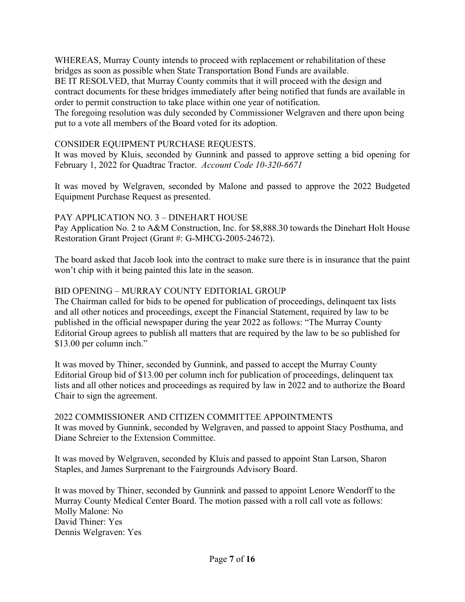WHEREAS, Murray County intends to proceed with replacement or rehabilitation of these bridges as soon as possible when State Transportation Bond Funds are available.

BE IT RESOLVED, that Murray County commits that it will proceed with the design and contract documents for these bridges immediately after being notified that funds are available in order to permit construction to take place within one year of notification.

The foregoing resolution was duly seconded by Commissioner Welgraven and there upon being put to a vote all members of the Board voted for its adoption.

# CONSIDER EQUIPMENT PURCHASE REQUESTS.

It was moved by Kluis, seconded by Gunnink and passed to approve setting a bid opening for February 1, 2022 for Quadtrac Tractor. *Account Code 10-320-6671*

It was moved by Welgraven, seconded by Malone and passed to approve the 2022 Budgeted Equipment Purchase Request as presented.

# PAY APPLICATION NO. 3 – DINEHART HOUSE

Pay Application No. 2 to A&M Construction, Inc. for \$8,888.30 towards the Dinehart Holt House Restoration Grant Project (Grant #: G-MHCG-2005-24672).

The board asked that Jacob look into the contract to make sure there is in insurance that the paint won't chip with it being painted this late in the season.

# BID OPENING – MURRAY COUNTY EDITORIAL GROUP

The Chairman called for bids to be opened for publication of proceedings, delinquent tax lists and all other notices and proceedings, except the Financial Statement, required by law to be published in the official newspaper during the year 2022 as follows: "The Murray County Editorial Group agrees to publish all matters that are required by the law to be so published for \$13.00 per column inch."

It was moved by Thiner, seconded by Gunnink, and passed to accept the Murray County Editorial Group bid of \$13.00 per column inch for publication of proceedings, delinquent tax lists and all other notices and proceedings as required by law in 2022 and to authorize the Board Chair to sign the agreement.

2022 COMMISSIONER AND CITIZEN COMMITTEE APPOINTMENTS It was moved by Gunnink, seconded by Welgraven, and passed to appoint Stacy Posthuma, and Diane Schreier to the Extension Committee.

It was moved by Welgraven, seconded by Kluis and passed to appoint Stan Larson, Sharon Staples, and James Surprenant to the Fairgrounds Advisory Board.

It was moved by Thiner, seconded by Gunnink and passed to appoint Lenore Wendorff to the Murray County Medical Center Board. The motion passed with a roll call vote as follows: Molly Malone: No David Thiner: Yes Dennis Welgraven: Yes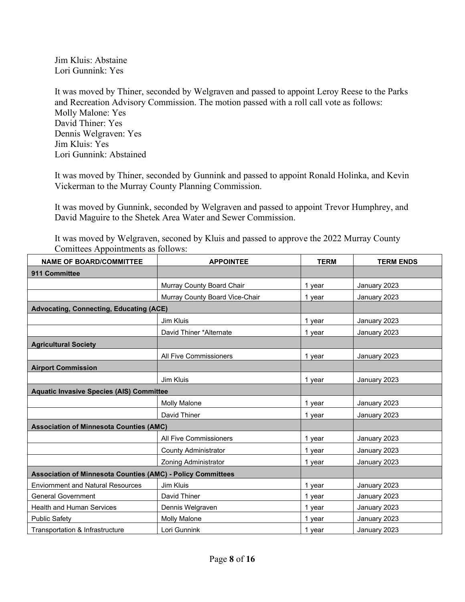Jim Kluis: Abstaine Lori Gunnink: Yes

It was moved by Thiner, seconded by Welgraven and passed to appoint Leroy Reese to the Parks and Recreation Advisory Commission. The motion passed with a roll call vote as follows: Molly Malone: Yes David Thiner: Yes Dennis Welgraven: Yes Jim Kluis: Yes Lori Gunnink: Abstained

It was moved by Thiner, seconded by Gunnink and passed to appoint Ronald Holinka, and Kevin Vickerman to the Murray County Planning Commission.

It was moved by Gunnink, seconded by Welgraven and passed to appoint Trevor Humphrey, and David Maguire to the Shetek Area Water and Sewer Commission.

It was moved by Welgraven, seconed by Kluis and passed to approve the 2022 Murray County Comittees Appointments as follows:

| <b>NAME OF BOARD/COMMITTEE</b>                                     | <b>APPOINTEE</b>                                | <b>TERM</b> | <b>TERM ENDS</b> |
|--------------------------------------------------------------------|-------------------------------------------------|-------------|------------------|
| 911 Committee                                                      |                                                 |             |                  |
|                                                                    | Murray County Board Chair                       | 1 year      | January 2023     |
|                                                                    | Murray County Board Vice-Chair                  | 1 year      | January 2023     |
| <b>Advocating, Connecting, Educating (ACE)</b>                     |                                                 |             |                  |
|                                                                    | Jim Kluis                                       | 1 year      | January 2023     |
|                                                                    | David Thiner *Alternate                         | 1 year      | January 2023     |
| <b>Agricultural Society</b>                                        |                                                 |             |                  |
|                                                                    | <b>All Five Commissioners</b>                   | 1 year      | January 2023     |
| <b>Airport Commission</b>                                          |                                                 |             |                  |
|                                                                    | Jim Kluis                                       | 1 year      | January 2023     |
|                                                                    | <b>Aquatic Invasive Species (AIS) Committee</b> |             |                  |
|                                                                    | <b>Molly Malone</b>                             | 1 year      | January 2023     |
|                                                                    | David Thiner                                    | 1 year      | January 2023     |
| <b>Association of Minnesota Counties (AMC)</b>                     |                                                 |             |                  |
|                                                                    | <b>All Five Commissioners</b>                   | 1 year      | January 2023     |
|                                                                    | <b>County Administrator</b>                     | 1 year      | January 2023     |
|                                                                    | <b>Zoning Administrator</b>                     | 1 year      | January 2023     |
| <b>Association of Minnesota Counties (AMC) - Policy Committees</b> |                                                 |             |                  |
| <b>Enviornment and Natural Resources</b>                           | Jim Kluis                                       | 1 year      | January 2023     |
| <b>General Government</b>                                          | David Thiner                                    | 1 year      | January 2023     |
| <b>Health and Human Services</b>                                   | Dennis Welgraven                                | 1 year      | January 2023     |
| <b>Public Safety</b>                                               | <b>Molly Malone</b>                             | 1 year      | January 2023     |
| Transportation & Infrastructure                                    | Lori Gunnink                                    | 1 year      | January 2023     |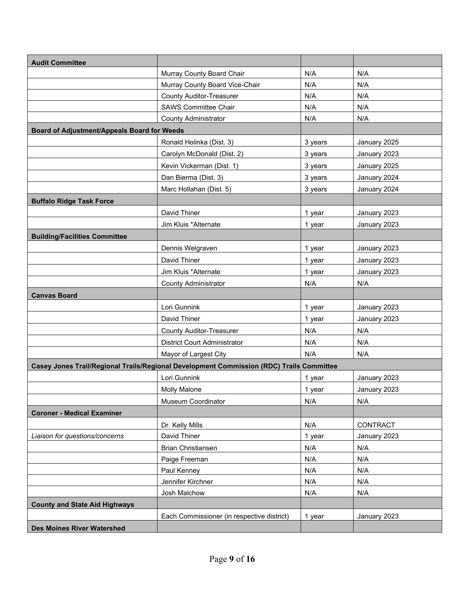| <b>Audit Committee</b>                      |                                                                                          |         |              |
|---------------------------------------------|------------------------------------------------------------------------------------------|---------|--------------|
|                                             | Murray County Board Chair                                                                | N/A     | N/A          |
|                                             | Murray County Board Vice-Chair                                                           | N/A     | N/A          |
|                                             | <b>County Auditor-Treasurer</b>                                                          | N/A     | N/A          |
|                                             | <b>SAWS Committee Chair</b>                                                              | N/A     | N/A          |
|                                             | <b>County Administrator</b>                                                              | N/A     | N/A          |
| Board of Adjustment/Appeals Board for Weeds |                                                                                          |         |              |
|                                             | Ronald Holinka (Dist. 3)                                                                 | 3 years | January 2025 |
|                                             | Carolyn McDonald (Dist. 2)                                                               | 3 years | January 2023 |
|                                             | Kevin Vickerman (Dist. 1)                                                                | 3 years | January 2025 |
|                                             | Dan Bierma (Dist. 3)                                                                     | 3 years | January 2024 |
|                                             | Marc Hollahan (Dist. 5)                                                                  | 3 years | January 2024 |
| <b>Buffalo Ridge Task Force</b>             |                                                                                          |         |              |
|                                             | David Thiner                                                                             | 1 year  | January 2023 |
|                                             | Jim Kluis *Alternate                                                                     | 1 year  | January 2023 |
| <b>Building/Facilities Committee</b>        |                                                                                          |         |              |
|                                             | Dennis Welgraven                                                                         | 1 year  | January 2023 |
|                                             | David Thiner                                                                             | 1 year  | January 2023 |
|                                             | Jim Kluis *Alternate                                                                     | 1 year  | January 2023 |
|                                             | <b>County Administrator</b>                                                              | N/A     | N/A          |
| <b>Canvas Board</b>                         |                                                                                          |         |              |
|                                             | Lori Gunnink                                                                             | 1 year  | January 2023 |
|                                             | David Thiner                                                                             | 1 year  | January 2023 |
|                                             | <b>County Auditor-Treasurer</b>                                                          | N/A     | N/A          |
|                                             | <b>District Court Administrator</b>                                                      | N/A     | N/A          |
|                                             | Mayor of Largest City                                                                    | N/A     | N/A          |
|                                             | Casey Jones Trail/Regional Trails/Regional Development Commission (RDC) Trails Committee |         |              |
|                                             | Lori Gunnink                                                                             | 1 year  | January 2023 |
|                                             | <b>Molly Malone</b>                                                                      | 1 year  | January 2023 |
|                                             | Museum Coordinator                                                                       | N/A     | N/A          |
| <b>Coroner - Medical Examiner</b>           |                                                                                          |         |              |
|                                             | Dr. Kelly Mills                                                                          | N/A     | CONTRACT     |
| Liaison for questions/concerns              | David Thiner                                                                             | 1 year  | January 2023 |
|                                             | Brian Christiansen                                                                       | N/A     | N/A          |
|                                             | Paige Freeman                                                                            | N/A     | N/A          |
|                                             | Paul Kenney                                                                              | N/A     | N/A          |
|                                             | Jennifer Kirchner                                                                        | N/A     | N/A          |
|                                             | Josh Malchow                                                                             | N/A     | N/A          |
| <b>County and State Aid Highways</b>        |                                                                                          |         |              |
|                                             | Each Commissioner (in respective district)                                               | 1 year  | January 2023 |
| <b>Des Moines River Watershed</b>           |                                                                                          |         |              |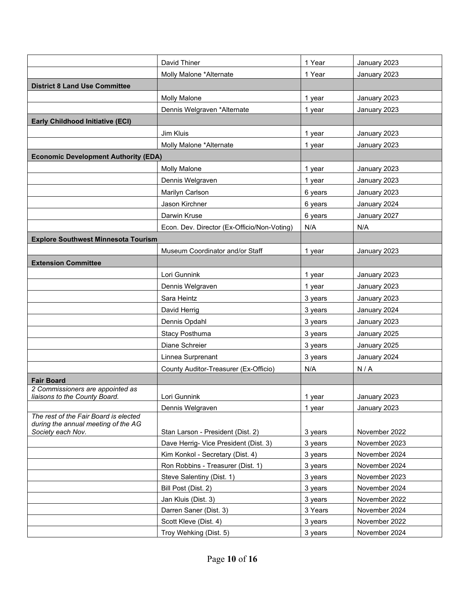|                                             | David Thiner                                                          | 1 Year             | January 2023                   |
|---------------------------------------------|-----------------------------------------------------------------------|--------------------|--------------------------------|
|                                             | Molly Malone *Alternate                                               | 1 Year             | January 2023                   |
| <b>District 8 Land Use Committee</b>        |                                                                       |                    |                                |
|                                             | <b>Molly Malone</b>                                                   | 1 year             | January 2023                   |
|                                             | Dennis Welgraven *Alternate                                           | 1 year             | January 2023                   |
| <b>Early Childhood Initiative (ECI)</b>     |                                                                       |                    |                                |
|                                             | Jim Kluis                                                             | 1 year             | January 2023                   |
|                                             | Molly Malone *Alternate                                               | 1 year             | January 2023                   |
| <b>Economic Development Authority (EDA)</b> |                                                                       |                    |                                |
|                                             | <b>Molly Malone</b>                                                   | 1 year             | January 2023                   |
|                                             | Dennis Welgraven                                                      | 1 year             | January 2023                   |
|                                             |                                                                       |                    |                                |
|                                             | Marilyn Carlson                                                       | 6 years            | January 2023                   |
|                                             | Jason Kirchner                                                        | 6 years            | January 2024                   |
|                                             | Darwin Kruse                                                          | 6 years            | January 2027                   |
|                                             | Econ. Dev. Director (Ex-Officio/Non-Voting)                           | N/A                | N/A                            |
| <b>Explore Southwest Minnesota Tourism</b>  |                                                                       |                    |                                |
|                                             | Museum Coordinator and/or Staff                                       | 1 year             | January 2023                   |
| <b>Extension Committee</b>                  |                                                                       |                    |                                |
|                                             | Lori Gunnink                                                          | 1 year             | January 2023                   |
|                                             | Dennis Welgraven                                                      | 1 year             | January 2023                   |
|                                             | Sara Heintz                                                           | 3 years            | January 2023                   |
|                                             | David Herrig                                                          | 3 years            | January 2024                   |
|                                             | Dennis Opdahl                                                         | 3 years            | January 2023                   |
|                                             | <b>Stacy Posthuma</b>                                                 | 3 years            | January 2025                   |
|                                             | Diane Schreier                                                        | 3 years            | January 2025                   |
|                                             | Linnea Surprenant                                                     | 3 years            | January 2024                   |
|                                             | County Auditor-Treasurer (Ex-Officio)                                 | N/A                | N/A                            |
| <b>Fair Board</b>                           |                                                                       |                    |                                |
| 2 Commissioners are appointed as            | Lori Gunnink                                                          |                    | January 2023                   |
| liaisons to the County Board.               | Dennis Welgraven                                                      | 1 year             | January 2023                   |
| The rest of the Fair Board is elected       |                                                                       | 1 year             |                                |
| during the annual meeting of the AG         |                                                                       |                    |                                |
| Society each Nov.                           | Stan Larson - President (Dist. 2)                                     | 3 years            | November 2022                  |
|                                             | Dave Herrig- Vice President (Dist. 3)                                 | 3 years            | November 2023                  |
|                                             | Kim Konkol - Secretary (Dist. 4)<br>Ron Robbins - Treasurer (Dist. 1) | 3 years            | November 2024<br>November 2024 |
|                                             | Steve Salentiny (Dist. 1)                                             | 3 years<br>3 years | November 2023                  |
|                                             |                                                                       |                    | November 2024                  |
|                                             | Bill Post (Dist. 2)<br>Jan Kluis (Dist. 3)                            | 3 years            | November 2022                  |
|                                             | Darren Saner (Dist. 3)                                                | 3 years<br>3 Years | November 2024                  |
|                                             | Scott Kleve (Dist. 4)                                                 |                    | November 2022                  |
|                                             |                                                                       | 3 years            | November 2024                  |
|                                             | Troy Wehking (Dist. 5)                                                | 3 years            |                                |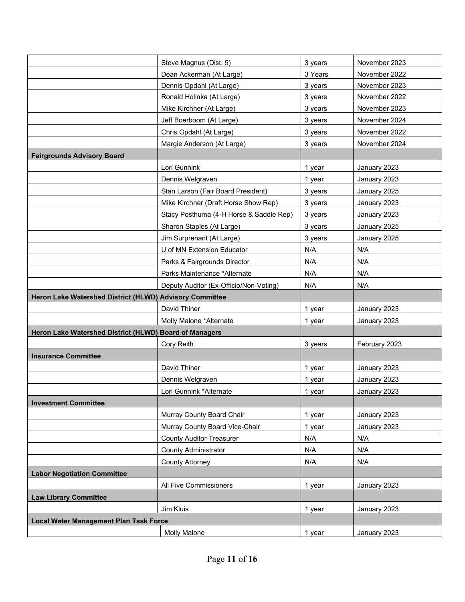|                                                         | Steve Magnus (Dist. 5)                  | 3 years | November 2023 |
|---------------------------------------------------------|-----------------------------------------|---------|---------------|
|                                                         | Dean Ackerman (At Large)                | 3 Years | November 2022 |
|                                                         | Dennis Opdahl (At Large)                | 3 years | November 2023 |
|                                                         | Ronald Holinka (At Large)               | 3 years | November 2022 |
|                                                         | Mike Kirchner (At Large)                | 3 years | November 2023 |
|                                                         | Jeff Boerboom (At Large)                | 3 years | November 2024 |
|                                                         | Chris Opdahl (At Large)                 | 3 years | November 2022 |
|                                                         | Margie Anderson (At Large)              | 3 years | November 2024 |
| <b>Fairgrounds Advisory Board</b>                       |                                         |         |               |
|                                                         | Lori Gunnink                            | 1 year  | January 2023  |
|                                                         | Dennis Welgraven                        | 1 year  | January 2023  |
|                                                         | Stan Larson (Fair Board President)      | 3 years | January 2025  |
|                                                         | Mike Kirchner (Draft Horse Show Rep)    | 3 years | January 2023  |
|                                                         | Stacy Posthuma (4-H Horse & Saddle Rep) | 3 years | January 2023  |
|                                                         | Sharon Staples (At Large)               | 3 years | January 2025  |
|                                                         | Jim Surprenant (At Large)               | 3 years | January 2025  |
|                                                         | U of MN Extension Educator              | N/A     | N/A           |
|                                                         | Parks & Fairgrounds Director            | N/A     | N/A           |
|                                                         | Parks Maintenance *Alternate            | N/A     | N/A           |
|                                                         | Deputy Auditor (Ex-Officio/Non-Voting)  | N/A     | N/A           |
| Heron Lake Watershed District (HLWD) Advisory Committee |                                         |         |               |
|                                                         | David Thiner                            | 1 year  | January 2023  |
|                                                         | Molly Malone *Alternate                 | 1 year  | January 2023  |
| Heron Lake Watershed District (HLWD) Board of Managers  |                                         |         |               |
|                                                         | Cory Reith                              | 3 years | February 2023 |
| <b>Insurance Committee</b>                              |                                         |         |               |
|                                                         | David Thiner                            | 1 year  | January 2023  |
|                                                         | Dennis Welgraven                        | 1 year  | January 2023  |
|                                                         | Lori Gunnink *Alternate                 | 1 year  | January 2023  |
| <b>Investment Committee</b>                             |                                         |         |               |
|                                                         | Murray County Board Chair               | 1 year  | January 2023  |
|                                                         | Murray County Board Vice-Chair          | 1 year  | January 2023  |
|                                                         | <b>County Auditor-Treasurer</b>         | N/A     | N/A           |
|                                                         | <b>County Administrator</b>             | N/A     | N/A           |
|                                                         | <b>County Attorney</b>                  | N/A     | N/A           |
| <b>Labor Negotiation Committee</b>                      |                                         |         |               |
|                                                         | All Five Commissioners                  | 1 year  | January 2023  |
| <b>Law Library Committee</b>                            |                                         |         |               |
|                                                         | Jim Kluis                               | 1 year  | January 2023  |
| <b>Local Water Management Plan Task Force</b>           |                                         |         |               |
|                                                         | <b>Molly Malone</b>                     | 1 year  | January 2023  |
|                                                         |                                         |         |               |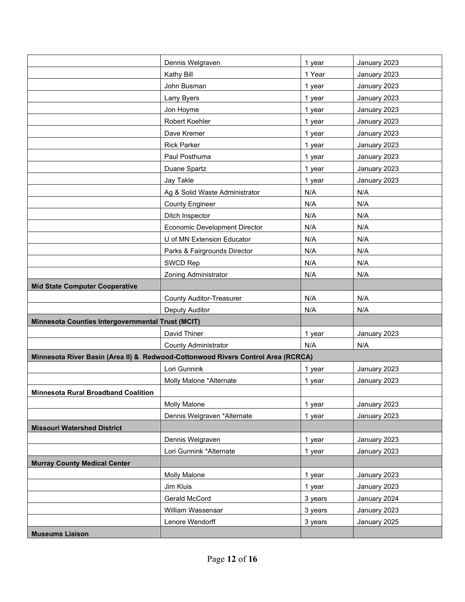|                                                                                  | Dennis Welgraven                | 1 year  | January 2023 |  |
|----------------------------------------------------------------------------------|---------------------------------|---------|--------------|--|
|                                                                                  | Kathy Bill                      | 1 Year  | January 2023 |  |
|                                                                                  | John Busman                     | 1 year  | January 2023 |  |
|                                                                                  | Larry Byers                     | 1 year  | January 2023 |  |
|                                                                                  | Jon Hoyme                       | 1 year  | January 2023 |  |
|                                                                                  | Robert Koehler                  | 1 year  | January 2023 |  |
|                                                                                  | Dave Kremer                     | 1 year  | January 2023 |  |
|                                                                                  | <b>Rick Parker</b>              | 1 year  | January 2023 |  |
|                                                                                  | Paul Posthuma                   | 1 year  | January 2023 |  |
|                                                                                  | Duane Spartz                    | 1 year  | January 2023 |  |
|                                                                                  | Jay Takle                       | 1 year  | January 2023 |  |
|                                                                                  | Ag & Solid Waste Administrator  | N/A     | N/A          |  |
|                                                                                  | <b>County Engineer</b>          | N/A     | N/A          |  |
|                                                                                  | Ditch Inspector                 | N/A     | N/A          |  |
|                                                                                  | Economic Development Director   | N/A     | N/A          |  |
|                                                                                  | U of MN Extension Educator      | N/A     | N/A          |  |
|                                                                                  | Parks & Fairgrounds Director    | N/A     | N/A          |  |
|                                                                                  | SWCD Rep                        | N/A     | N/A          |  |
|                                                                                  | <b>Zoning Administrator</b>     | N/A     | N/A          |  |
| <b>Mid State Computer Cooperative</b>                                            |                                 |         |              |  |
|                                                                                  | <b>County Auditor-Treasurer</b> | N/A     | N/A          |  |
|                                                                                  | Deputy Auditor                  | N/A     | N/A          |  |
| Minnesota Counties Intergovernmental Trust (MCIT)                                |                                 |         |              |  |
|                                                                                  | David Thiner                    | 1 year  | January 2023 |  |
|                                                                                  | <b>County Administrator</b>     | N/A     | N/A          |  |
| Minnesota River Basin (Area II) & Redwood-Cottonwood Rivers Control Area (RCRCA) |                                 |         |              |  |
|                                                                                  | Lori Gunnink                    | 1 year  | January 2023 |  |
|                                                                                  | Molly Malone *Alternate         | 1 year  | January 2023 |  |
| <b>Minnesota Rural Broadband Coalition</b>                                       |                                 |         |              |  |
|                                                                                  | <b>Molly Malone</b>             | 1 year  | January 2023 |  |
|                                                                                  | Dennis Welgraven *Alternate     | 1 year  | January 2023 |  |
| <b>Missouri Watershed District</b>                                               |                                 |         |              |  |
|                                                                                  | Dennis Welgraven                | 1 year  | January 2023 |  |
|                                                                                  | Lori Gunnink *Alternate         | 1 year  | January 2023 |  |
| <b>Murray County Medical Center</b>                                              |                                 |         |              |  |
|                                                                                  | <b>Molly Malone</b>             | 1 year  | January 2023 |  |
|                                                                                  | Jim Kluis                       | 1 year  | January 2023 |  |
|                                                                                  | Gerald McCord                   | 3 years | January 2024 |  |
|                                                                                  | William Wassenaar               | 3 years | January 2023 |  |
|                                                                                  | Lenore Wendorff                 | 3 years | January 2025 |  |
| <b>Museums Liaison</b>                                                           |                                 |         |              |  |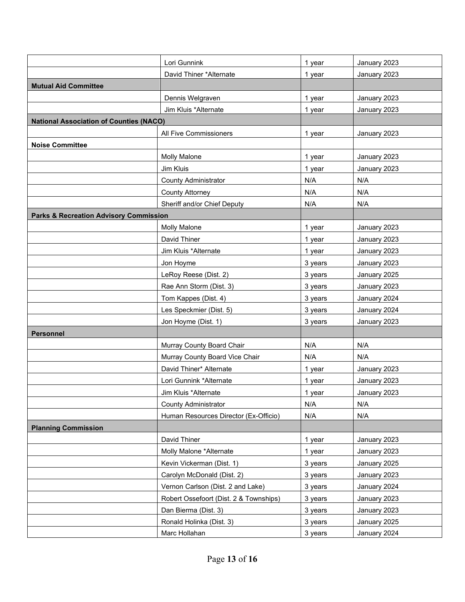|                                                   | Lori Gunnink                           | 1 year  | January 2023 |
|---------------------------------------------------|----------------------------------------|---------|--------------|
|                                                   | David Thiner *Alternate                | 1 year  | January 2023 |
| <b>Mutual Aid Committee</b>                       |                                        |         |              |
|                                                   | Dennis Welgraven                       | 1 year  | January 2023 |
|                                                   | Jim Kluis *Alternate                   | 1 year  | January 2023 |
| <b>National Association of Counties (NACO)</b>    |                                        |         |              |
|                                                   | All Five Commissioners                 | 1 year  | January 2023 |
| <b>Noise Committee</b>                            |                                        |         |              |
|                                                   | <b>Molly Malone</b>                    |         |              |
|                                                   |                                        | 1 year  | January 2023 |
|                                                   | Jim Kluis                              | 1 year  | January 2023 |
|                                                   | <b>County Administrator</b>            | N/A     | N/A          |
|                                                   | <b>County Attorney</b>                 | N/A     | N/A          |
|                                                   | Sheriff and/or Chief Deputy            | N/A     | N/A          |
| <b>Parks &amp; Recreation Advisory Commission</b> |                                        |         |              |
|                                                   | <b>Molly Malone</b>                    | 1 year  | January 2023 |
|                                                   | David Thiner                           | 1 year  | January 2023 |
|                                                   | Jim Kluis *Alternate                   | 1 year  | January 2023 |
|                                                   | Jon Hoyme                              | 3 years | January 2023 |
|                                                   | LeRoy Reese (Dist. 2)                  | 3 years | January 2025 |
|                                                   | Rae Ann Storm (Dist. 3)                | 3 years | January 2023 |
|                                                   | Tom Kappes (Dist. 4)                   | 3 years | January 2024 |
|                                                   | Les Speckmier (Dist. 5)                | 3 years | January 2024 |
|                                                   | Jon Hoyme (Dist. 1)                    | 3 years | January 2023 |
| <b>Personnel</b>                                  |                                        |         |              |
|                                                   | Murray County Board Chair              | N/A     | N/A          |
|                                                   | Murray County Board Vice Chair         | N/A     | N/A          |
|                                                   | David Thiner* Alternate                | 1 year  | January 2023 |
|                                                   | Lori Gunnink *Alternate                | 1 year  | January 2023 |
|                                                   | Jim Kluis *Alternate                   | 1 year  | January 2023 |
|                                                   | <b>County Administrator</b>            | N/A     | N/A          |
|                                                   | Human Resources Director (Ex-Officio)  | N/A     | N/A          |
| <b>Planning Commission</b>                        |                                        |         |              |
|                                                   | David Thiner                           | 1 year  | January 2023 |
|                                                   | Molly Malone *Alternate                | 1 year  | January 2023 |
|                                                   | Kevin Vickerman (Dist. 1)              | 3 years | January 2025 |
|                                                   | Carolyn McDonald (Dist. 2)             | 3 years | January 2023 |
|                                                   | Vernon Carlson (Dist. 2 and Lake)      | 3 years | January 2024 |
|                                                   | Robert Ossefoort (Dist. 2 & Townships) | 3 years | January 2023 |
|                                                   | Dan Bierma (Dist. 3)                   | 3 years | January 2023 |
|                                                   | Ronald Holinka (Dist. 3)               | 3 years | January 2025 |
|                                                   | Marc Hollahan                          | 3 years | January 2024 |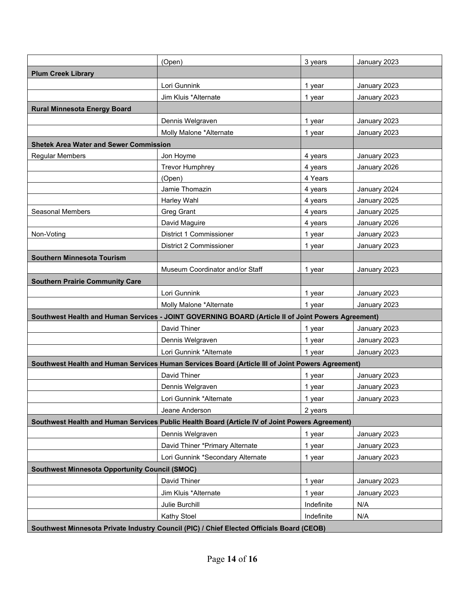|                                                                                                  | (Open)                                                                                             | 3 years    | January 2023 |  |
|--------------------------------------------------------------------------------------------------|----------------------------------------------------------------------------------------------------|------------|--------------|--|
| <b>Plum Creek Library</b>                                                                        |                                                                                                    |            |              |  |
|                                                                                                  | Lori Gunnink                                                                                       | 1 year     | January 2023 |  |
|                                                                                                  | Jim Kluis *Alternate                                                                               | 1 year     | January 2023 |  |
| <b>Rural Minnesota Energy Board</b>                                                              |                                                                                                    |            |              |  |
|                                                                                                  | Dennis Welgraven                                                                                   | 1 year     | January 2023 |  |
|                                                                                                  | Molly Malone *Alternate                                                                            | 1 year     | January 2023 |  |
| <b>Shetek Area Water and Sewer Commission</b>                                                    |                                                                                                    |            |              |  |
| <b>Regular Members</b>                                                                           | Jon Hoyme                                                                                          | 4 years    | January 2023 |  |
|                                                                                                  | <b>Trevor Humphrey</b>                                                                             | 4 years    | January 2026 |  |
|                                                                                                  | (Open)                                                                                             | 4 Years    |              |  |
|                                                                                                  | Jamie Thomazin                                                                                     | 4 years    | January 2024 |  |
|                                                                                                  | Harley Wahl                                                                                        | 4 years    | January 2025 |  |
| <b>Seasonal Members</b>                                                                          | <b>Greg Grant</b>                                                                                  | 4 years    | January 2025 |  |
|                                                                                                  | David Maguire                                                                                      | 4 years    | January 2026 |  |
| Non-Voting                                                                                       | District 1 Commissioner                                                                            | 1 year     | January 2023 |  |
|                                                                                                  | District 2 Commissioner                                                                            | 1 year     | January 2023 |  |
| <b>Southern Minnesota Tourism</b>                                                                |                                                                                                    |            |              |  |
|                                                                                                  | Museum Coordinator and/or Staff                                                                    | 1 year     | January 2023 |  |
| <b>Southern Prairie Community Care</b>                                                           |                                                                                                    |            |              |  |
|                                                                                                  | Lori Gunnink                                                                                       | 1 year     | January 2023 |  |
|                                                                                                  | Molly Malone *Alternate                                                                            | 1 year     | January 2023 |  |
|                                                                                                  | Southwest Health and Human Services - JOINT GOVERNING BOARD (Article II of Joint Powers Agreement) |            |              |  |
|                                                                                                  | David Thiner                                                                                       | 1 year     | January 2023 |  |
|                                                                                                  | Dennis Welgraven                                                                                   | 1 year     | January 2023 |  |
|                                                                                                  | Lori Gunnink *Alternate                                                                            | 1 year     | January 2023 |  |
| Southwest Health and Human Services Human Services Board (Article III of Joint Powers Agreement) |                                                                                                    |            |              |  |
|                                                                                                  | David Thiner                                                                                       | 1 year     | January 2023 |  |
|                                                                                                  | Dennis Welgraven                                                                                   | 1 year     | January 2023 |  |
|                                                                                                  | Lori Gunnink *Alternate                                                                            | 1 year     | January 2023 |  |
|                                                                                                  | Jeane Anderson                                                                                     | 2 years    |              |  |
| Southwest Health and Human Services Public Health Board (Article IV of Joint Powers Agreement)   |                                                                                                    |            |              |  |
|                                                                                                  | Dennis Welgraven                                                                                   | 1 year     | January 2023 |  |
|                                                                                                  | David Thiner *Primary Alternate                                                                    | 1 year     | January 2023 |  |
|                                                                                                  | Lori Gunnink *Secondary Alternate                                                                  | 1 year     | January 2023 |  |
| <b>Southwest Minnesota Opportunity Council (SMOC)</b>                                            |                                                                                                    |            |              |  |
|                                                                                                  | David Thiner                                                                                       | 1 year     | January 2023 |  |
|                                                                                                  | Jim Kluis *Alternate                                                                               | 1 year     | January 2023 |  |
|                                                                                                  | Julie Burchill                                                                                     | Indefinite | N/A          |  |
|                                                                                                  | Kathy Stoel                                                                                        | Indefinite | N/A          |  |
| Southwest Minnesota Private Industry Council (PIC) / Chief Elected Officials Board (CEOB)        |                                                                                                    |            |              |  |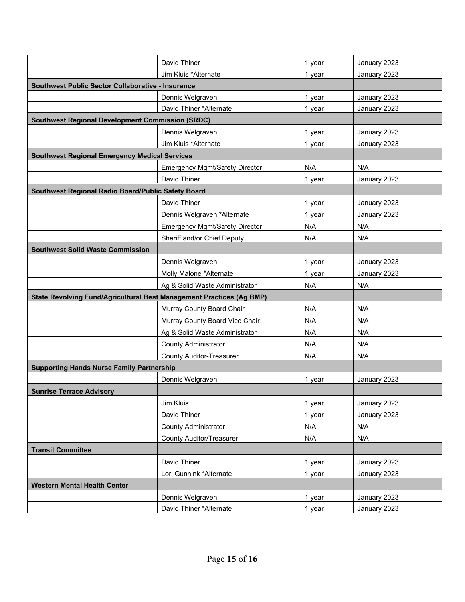|                                                                      | David Thiner                    | 1 year | January 2023 |  |
|----------------------------------------------------------------------|---------------------------------|--------|--------------|--|
|                                                                      | Jim Kluis *Alternate            | 1 year | January 2023 |  |
| Southwest Public Sector Collaborative - Insurance                    |                                 |        |              |  |
|                                                                      | Dennis Welgraven                | 1 year | January 2023 |  |
|                                                                      | David Thiner *Alternate         | 1 year | January 2023 |  |
| <b>Southwest Regional Development Commission (SRDC)</b>              |                                 |        |              |  |
|                                                                      | Dennis Welgraven                | 1 year | January 2023 |  |
|                                                                      | Jim Kluis *Alternate            | 1 year | January 2023 |  |
| <b>Southwest Regional Emergency Medical Services</b>                 |                                 |        |              |  |
|                                                                      | Emergency Mgmt/Safety Director  | N/A    | N/A          |  |
|                                                                      | David Thiner                    | 1 year | January 2023 |  |
| Southwest Regional Radio Board/Public Safety Board                   |                                 |        |              |  |
|                                                                      | David Thiner                    | 1 year | January 2023 |  |
|                                                                      | Dennis Welgraven *Alternate     | 1 year | January 2023 |  |
|                                                                      | Emergency Mgmt/Safety Director  | N/A    | N/A          |  |
|                                                                      | Sheriff and/or Chief Deputy     | N/A    | N/A          |  |
| <b>Southwest Solid Waste Commission</b>                              |                                 |        |              |  |
|                                                                      | Dennis Welgraven                | 1 year | January 2023 |  |
|                                                                      | Molly Malone *Alternate         | 1 year | January 2023 |  |
|                                                                      | Ag & Solid Waste Administrator  | N/A    | N/A          |  |
| State Revolving Fund/Agricultural Best Management Practices (Ag BMP) |                                 |        |              |  |
|                                                                      | Murray County Board Chair       | N/A    | N/A          |  |
|                                                                      | Murray County Board Vice Chair  | N/A    | N/A          |  |
|                                                                      | Ag & Solid Waste Administrator  | N/A    | N/A          |  |
|                                                                      | <b>County Administrator</b>     | N/A    | N/A          |  |
|                                                                      | <b>County Auditor-Treasurer</b> | N/A    | N/A          |  |
| <b>Supporting Hands Nurse Family Partnership</b>                     |                                 |        |              |  |
|                                                                      | Dennis Welgraven                | 1 year | January 2023 |  |
| <b>Sunrise Terrace Advisory</b>                                      |                                 |        |              |  |
|                                                                      | Jim Kluis                       | 1 year | January 2023 |  |
|                                                                      | David Thiner                    | 1 year | January 2023 |  |
|                                                                      | County Administrator            | N/A    | N/A          |  |
|                                                                      | <b>County Auditor/Treasurer</b> | N/A    | N/A          |  |
| <b>Transit Committee</b>                                             |                                 |        |              |  |
|                                                                      | David Thiner                    | 1 year | January 2023 |  |
|                                                                      | Lori Gunnink *Alternate         | 1 year | January 2023 |  |
| <b>Western Mental Health Center</b>                                  |                                 |        |              |  |
|                                                                      | Dennis Welgraven                | 1 year | January 2023 |  |
|                                                                      | David Thiner *Alternate         | 1 year | January 2023 |  |